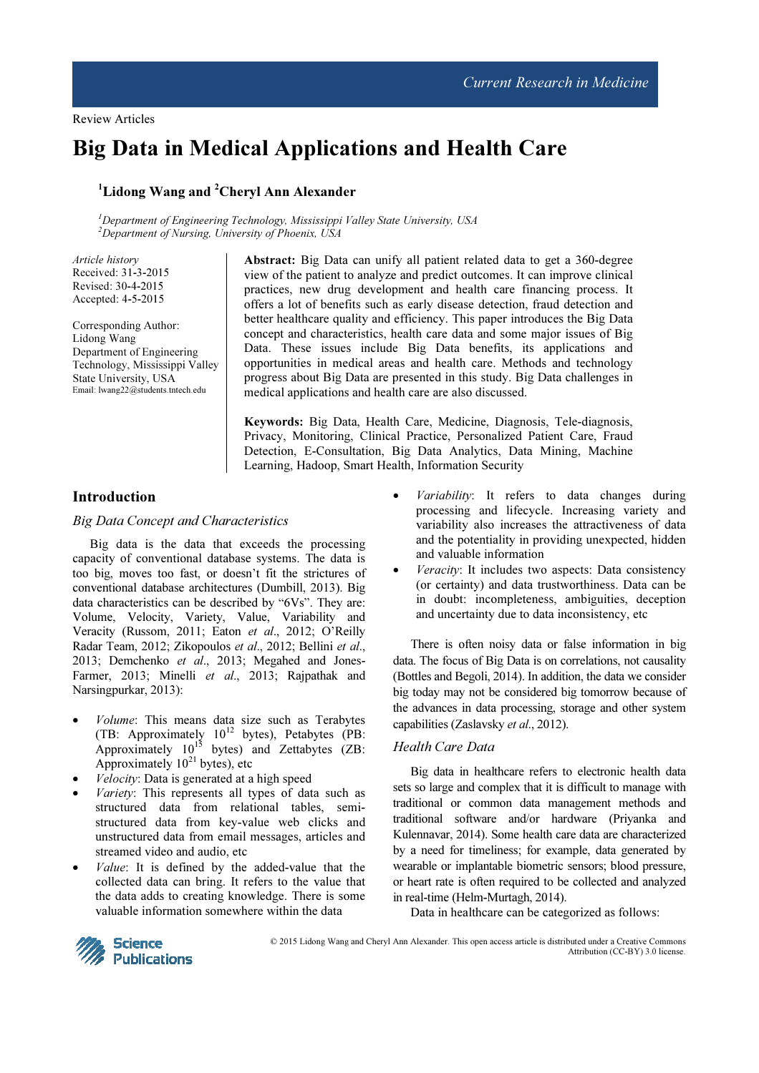# Big Data in Medical Applications and Health Care

# <sup>1</sup>Lidong Wang and <sup>2</sup>Chervl Ann Alexander

<sup>1</sup>Department of Engineering Technology, Mississippi Valley State University, USA  $^{2}$ Department of Nursing, University of Phoenix, USA

Article history Received: 31-3-2015 Revised: 30-4-2015 Accepted: 4-5-2015

Corresponding Author: Lidong Wang Department of Engineering Technology, Mississippi Valley State University, USA Email: lwang22@students.tntech.edu

Abstract: Big Data can unify all patient related data to get a 360-degree view of the patient to analyze and predict outcomes. It can improve clinical practices, new drug development and health care financing process. It offers a lot of benefits such as early disease detection, fraud detection and better healthcare quality and efficiency. This paper introduces the Big Data concept and characteristics, health care data and some major issues of Big Data. These issues include Big Data benefits, its applications and opportunities in medical areas and health care. Methods and technology progress about Big Data are presented in this study. Big Data challenges in medical applications and health care are also discussed.

Keywords: Big Data, Health Care, Medicine, Diagnosis, Tele-diagnosis, Privacy, Monitoring, Clinical Practice, Personalized Patient Care, Fraud Detection, E-Consultation, Big Data Analytics, Data Mining, Machine Learning, Hadoop, Smart Health, Information Security

# Introduction

#### Big Data Concept and Characteristics

Big data is the data that exceeds the processing capacity of conventional database systems. The data is too big, moves too fast, or doesn't fit the strictures of conventional database architectures (Dumbill, 2013). Big data characteristics can be described by "6Vs". They are: Volume, Velocity, Variety, Value, Variability and Veracity (Russom, 2011; Eaton et al., 2012; O'Reilly Radar Team, 2012; Zikopoulos et al., 2012; Bellini et al., 2013; Demchenko et al., 2013; Megahed and Jones-Farmer, 2013; Minelli et al., 2013; Rajpathak and Narsingpurkar, 2013):

- Volume: This means data size such as Terabytes (TB: Approximately  $10^{12}$  bytes), Petabytes (PB: Approximately  $10^{15}$  bytes) and Zettabytes (ZB: Approximately  $10^{21}$  bytes), etc
- Velocity: Data is generated at a high speed
- Variety: This represents all types of data such as structured data from relational tables, semistructured data from key-value web clicks and unstructured data from email messages, articles and streamed video and audio, etc
- Value: It is defined by the added-value that the collected data can bring. It refers to the value that the data adds to creating knowledge. There is some valuable information somewhere within the data
- Variability: It refers to data changes during processing and lifecycle. Increasing variety and variability also increases the attractiveness of data and the potentiality in providing unexpected, hidden and valuable information
- Veracity: It includes two aspects: Data consistency (or certainty) and data trustworthiness. Data can be in doubt: incompleteness, ambiguities, deception and uncertainty due to data inconsistency, etc

There is often noisy data or false information in big data. The focus of Big Data is on correlations, not causality (Bottles and Begoli, 2014). In addition, the data we consider big today may not be considered big tomorrow because of the advances in data processing, storage and other system capabilities (Zaslavsky et al., 2012).

#### Health Care Data

Big data in healthcare refers to electronic health data sets so large and complex that it is difficult to manage with traditional or common data management methods and traditional software and/or hardware (Priyanka and Kulennavar, 2014). Some health care data are characterized by a need for timeliness; for example, data generated by wearable or implantable biometric sensors; blood pressure, or heart rate is often required to be collected and analyzed in real-time (Helm-Murtagh, 2014).

Data in healthcare can be categorized as follows:



© 2015 Lidong Wang and Cheryl Ann Alexander. This open access article is distributed under a Creative Commons Attribution (CC-BY) 3.0 license.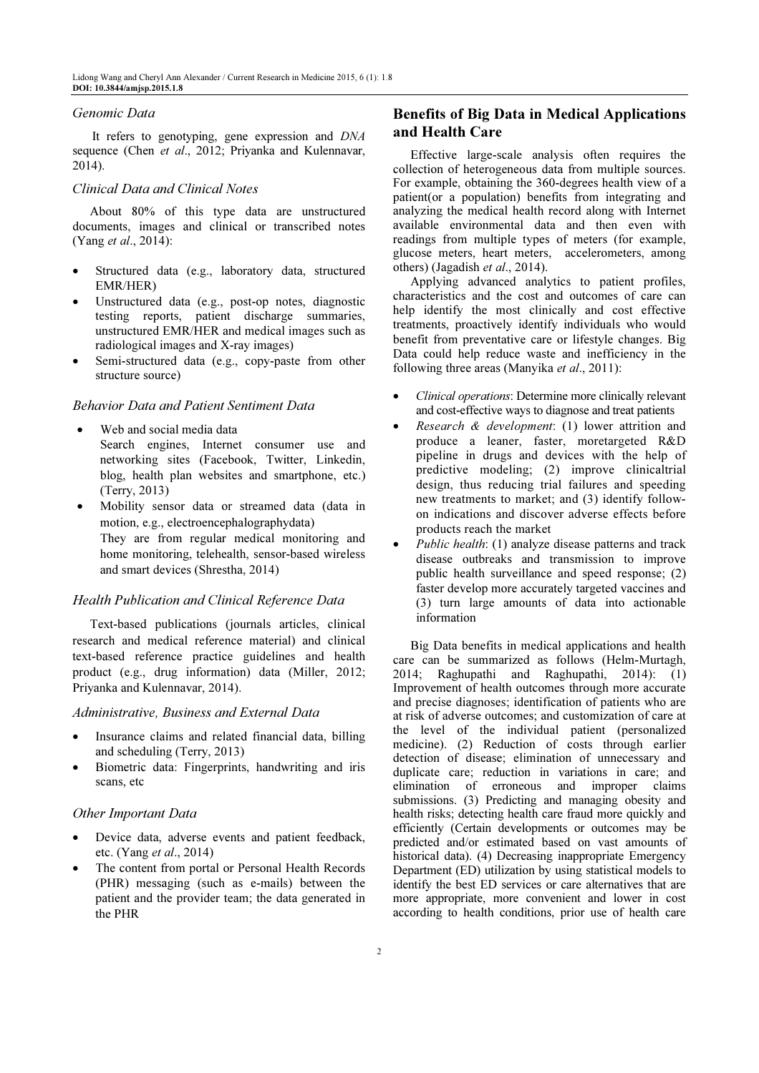#### Genomic Data

 It refers to genotyping, gene expression and DNA sequence (Chen et al., 2012; Priyanka and Kulennavar, 2014).

## Clinical Data and Clinical Notes

About 80% of this type data are unstructured documents, images and clinical or transcribed notes (Yang et al., 2014):

- Structured data (e.g., laboratory data, structured EMR/HER)
- Unstructured data (e.g., post-op notes, diagnostic testing reports, patient discharge summaries, unstructured EMR/HER and medical images such as radiological images and X-ray images)
- Semi-structured data (e.g., copy-paste from other structure source)

#### Behavior Data and Patient Sentiment Data

- Web and social media data Search engines, Internet consumer use and networking sites (Facebook, Twitter, Linkedin, blog, health plan websites and smartphone, etc.) (Terry, 2013)
- Mobility sensor data or streamed data (data in motion, e.g., electroencephalographydata)

They are from regular medical monitoring and home monitoring, telehealth, sensor-based wireless and smart devices (Shrestha, 2014)

#### Health Publication and Clinical Reference Data

Text-based publications (journals articles, clinical research and medical reference material) and clinical text-based reference practice guidelines and health product (e.g., drug information) data (Miller, 2012; Priyanka and Kulennavar, 2014).

## Administrative, Business and External Data

- Insurance claims and related financial data, billing and scheduling (Terry, 2013)
- Biometric data: Fingerprints, handwriting and iris scans, etc

#### Other Important Data

- Device data, adverse events and patient feedback, etc. (Yang et al., 2014)
- The content from portal or Personal Health Records (PHR) messaging (such as e-mails) between the patient and the provider team; the data generated in the PHR

# Benefits of Big Data in Medical Applications and Health Care

Effective large-scale analysis often requires the collection of heterogeneous data from multiple sources. For example, obtaining the 360-degrees health view of a patient(or a population) benefits from integrating and analyzing the medical health record along with Internet available environmental data and then even with readings from multiple types of meters (for example, glucose meters, heart meters, accelerometers, among others) (Jagadish et al., 2014).

Applying advanced analytics to patient profiles, characteristics and the cost and outcomes of care can help identify the most clinically and cost effective treatments, proactively identify individuals who would benefit from preventative care or lifestyle changes. Big Data could help reduce waste and inefficiency in the following three areas (Manyika et al., 2011):

- Clinical operations: Determine more clinically relevant and cost-effective ways to diagnose and treat patients
- *Research & development*: (1) lower attrition and produce a leaner, faster, moretargeted R&D pipeline in drugs and devices with the help of predictive modeling; (2) improve clinicaltrial design, thus reducing trial failures and speeding new treatments to market; and (3) identify followon indications and discover adverse effects before products reach the market
- Public health: (1) analyze disease patterns and track disease outbreaks and transmission to improve public health surveillance and speed response; (2) faster develop more accurately targeted vaccines and (3) turn large amounts of data into actionable information

Big Data benefits in medical applications and health care can be summarized as follows (Helm-Murtagh, 2014; Raghupathi and Raghupathi, 2014): (1) Improvement of health outcomes through more accurate and precise diagnoses; identification of patients who are at risk of adverse outcomes; and customization of care at the level of the individual patient (personalized medicine). (2) Reduction of costs through earlier detection of disease; elimination of unnecessary and duplicate care; reduction in variations in care; and elimination of erroneous and improper claims submissions. (3) Predicting and managing obesity and health risks; detecting health care fraud more quickly and efficiently (Certain developments or outcomes may be predicted and/or estimated based on vast amounts of historical data). (4) Decreasing inappropriate Emergency Department (ED) utilization by using statistical models to identify the best ED services or care alternatives that are more appropriate, more convenient and lower in cost according to health conditions, prior use of health care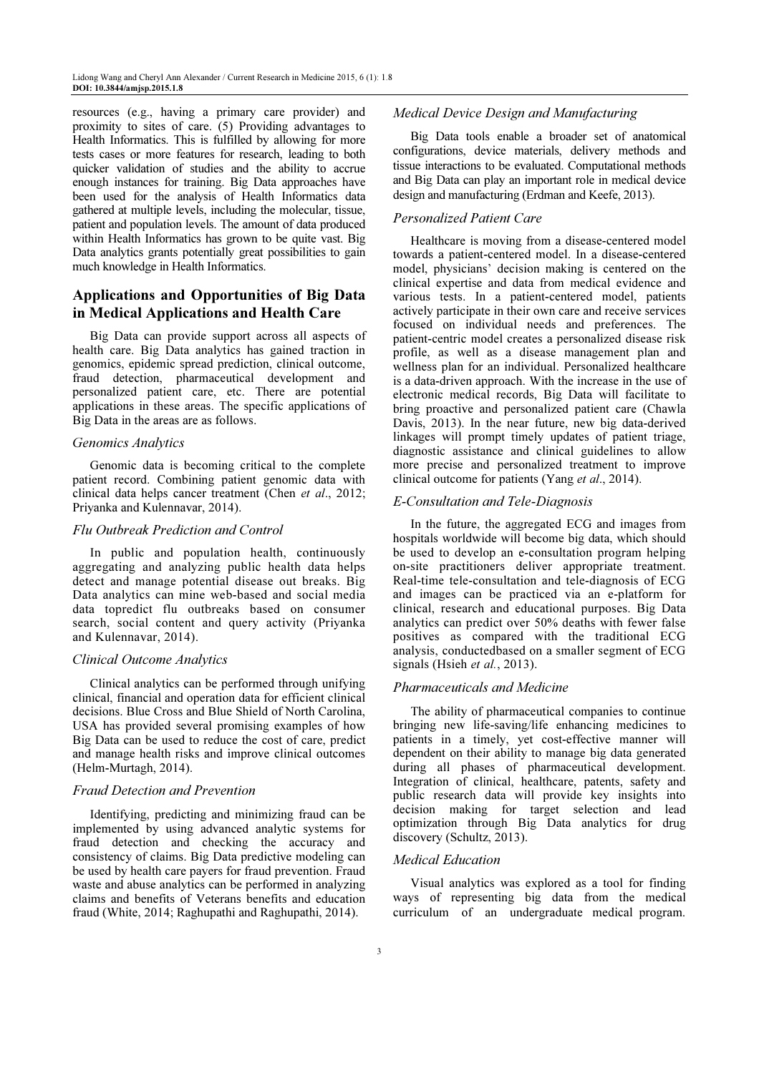resources (e.g., having a primary care provider) and proximity to sites of care. (5) Providing advantages to Health Informatics. This is fulfilled by allowing for more tests cases or more features for research, leading to both quicker validation of studies and the ability to accrue enough instances for training. Big Data approaches have been used for the analysis of Health Informatics data gathered at multiple levels, including the molecular, tissue, patient and population levels. The amount of data produced within Health Informatics has grown to be quite vast. Big Data analytics grants potentially great possibilities to gain much knowledge in Health Informatics.

# Applications and Opportunities of Big Data in Medical Applications and Health Care

Big Data can provide support across all aspects of health care. Big Data analytics has gained traction in genomics, epidemic spread prediction, clinical outcome, fraud detection, pharmaceutical development and personalized patient care, etc. There are potential applications in these areas. The specific applications of Big Data in the areas are as follows.

#### Genomics Analytics

Genomic data is becoming critical to the complete patient record. Combining patient genomic data with clinical data helps cancer treatment (Chen et al., 2012; Priyanka and Kulennavar, 2014).

#### Flu Outbreak Prediction and Control

In public and population health, continuously aggregating and analyzing public health data helps detect and manage potential disease out breaks. Big Data analytics can mine web-based and social media data topredict flu outbreaks based on consumer search, social content and query activity (Priyanka and Kulennavar, 2014).

## Clinical Outcome Analytics

Clinical analytics can be performed through unifying clinical, financial and operation data for efficient clinical decisions. Blue Cross and Blue Shield of North Carolina, USA has provided several promising examples of how Big Data can be used to reduce the cost of care, predict and manage health risks and improve clinical outcomes (Helm-Murtagh, 2014).

#### Fraud Detection and Prevention

Identifying, predicting and minimizing fraud can be implemented by using advanced analytic systems for fraud detection and checking the accuracy and consistency of claims. Big Data predictive modeling can be used by health care payers for fraud prevention. Fraud waste and abuse analytics can be performed in analyzing claims and benefits of Veterans benefits and education fraud (White, 2014; Raghupathi and Raghupathi, 2014).

#### Medical Device Design and Manufacturing

Big Data tools enable a broader set of anatomical configurations, device materials, delivery methods and tissue interactions to be evaluated. Computational methods and Big Data can play an important role in medical device design and manufacturing (Erdman and Keefe, 2013).

# Personalized Patient Care

Healthcare is moving from a disease-centered model towards a patient-centered model. In a disease-centered model, physicians' decision making is centered on the clinical expertise and data from medical evidence and various tests. In a patient-centered model, patients actively participate in their own care and receive services focused on individual needs and preferences. The patient-centric model creates a personalized disease risk profile, as well as a disease management plan and wellness plan for an individual. Personalized healthcare is a data-driven approach. With the increase in the use of electronic medical records, Big Data will facilitate to bring proactive and personalized patient care (Chawla Davis, 2013). In the near future, new big data-derived linkages will prompt timely updates of patient triage, diagnostic assistance and clinical guidelines to allow more precise and personalized treatment to improve clinical outcome for patients (Yang et al., 2014).

#### E-Consultation and Tele-Diagnosis

In the future, the aggregated ECG and images from hospitals worldwide will become big data, which should be used to develop an e-consultation program helping on-site practitioners deliver appropriate treatment. Real-time tele-consultation and tele-diagnosis of ECG and images can be practiced via an e-platform for clinical, research and educational purposes. Big Data analytics can predict over 50% deaths with fewer false positives as compared with the traditional ECG analysis, conductedbased on a smaller segment of ECG signals (Hsieh et al., 2013).

#### Pharmaceuticals and Medicine

The ability of pharmaceutical companies to continue bringing new life-saving/life enhancing medicines to patients in a timely, yet cost-effective manner will dependent on their ability to manage big data generated during all phases of pharmaceutical development. Integration of clinical, healthcare, patents, safety and public research data will provide key insights into decision making for target selection and lead optimization through Big Data analytics for drug discovery (Schultz, 2013).

#### Medical Education

Visual analytics was explored as a tool for finding ways of representing big data from the medical curriculum of an undergraduate medical program.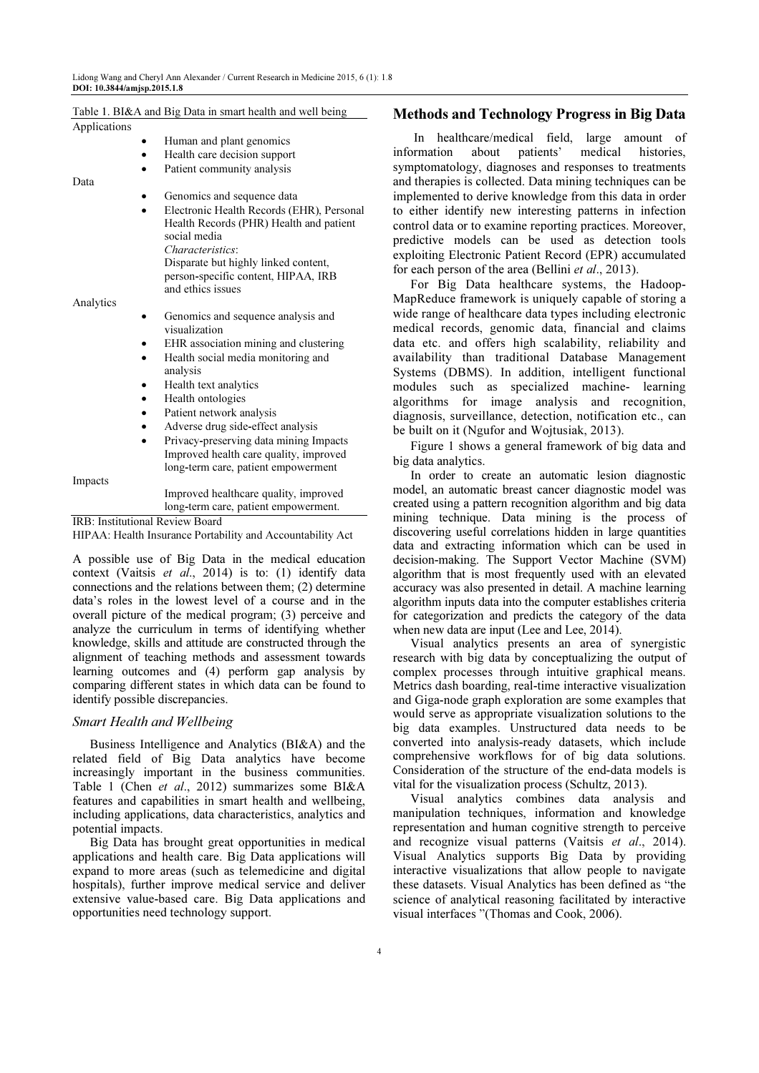|                                         | Table 1. BI&A and Big Data in smart health and well being  |
|-----------------------------------------|------------------------------------------------------------|
| Applications                            |                                                            |
|                                         | Human and plant genomics                                   |
| $\bullet$                               | Health care decision support                               |
|                                         | Patient community analysis                                 |
| Data                                    |                                                            |
|                                         | Genomics and sequence data                                 |
|                                         | Electronic Health Records (EHR), Personal                  |
|                                         | Health Records (PHR) Health and patient                    |
|                                         | social media                                               |
|                                         | <i>Characteristics:</i>                                    |
|                                         | Disparate but highly linked content,                       |
|                                         | person-specific content, HIPAA, IRB                        |
|                                         | and ethics issues                                          |
| Analytics                               |                                                            |
|                                         | Genomics and sequence analysis and                         |
|                                         | visualization                                              |
|                                         | EHR association mining and clustering                      |
|                                         | Health social media monitoring and                         |
|                                         | analysis                                                   |
|                                         | Health text analytics                                      |
|                                         | Health ontologies                                          |
|                                         | Patient network analysis                                   |
|                                         | Adverse drug side-effect analysis                          |
|                                         | Privacy-preserving data mining Impacts                     |
|                                         | Improved health care quality, improved                     |
|                                         | long-term care, patient empowerment                        |
| Impacts                                 |                                                            |
|                                         | Improved healthcare quality, improved                      |
|                                         | long-term care, patient empowerment.                       |
| <b>IRB</b> : Institutional Review Board |                                                            |
|                                         | HIPAA: Health Insurance Portability and Accountability Act |

A possible use of Big Data in the medical education context (Vaitsis et al., 2014) is to: (1) identify data connections and the relations between them; (2) determine data's roles in the lowest level of a course and in the overall picture of the medical program; (3) perceive and analyze the curriculum in terms of identifying whether knowledge, skills and attitude are constructed through the alignment of teaching methods and assessment towards learning outcomes and (4) perform gap analysis by comparing different states in which data can be found to identify possible discrepancies.

#### Smart Health and Wellbeing

Business Intelligence and Analytics (BI&A) and the related field of Big Data analytics have become increasingly important in the business communities. Table 1 (Chen et al., 2012) summarizes some BI&A features and capabilities in smart health and wellbeing, including applications, data characteristics, analytics and potential impacts.

Big Data has brought great opportunities in medical applications and health care. Big Data applications will expand to more areas (such as telemedicine and digital hospitals), further improve medical service and deliver extensive value-based care. Big Data applications and opportunities need technology support.

## Methods and Technology Progress in Big Data

 In healthcare/medical field, large amount of information about patients' medical histories, symptomatology, diagnoses and responses to treatments and therapies is collected. Data mining techniques can be implemented to derive knowledge from this data in order to either identify new interesting patterns in infection control data or to examine reporting practices. Moreover, predictive models can be used as detection tools exploiting Electronic Patient Record (EPR) accumulated for each person of the area (Bellini et al., 2013).

For Big Data healthcare systems, the Hadoop-MapReduce framework is uniquely capable of storing a wide range of healthcare data types including electronic medical records, genomic data, financial and claims data etc. and offers high scalability, reliability and availability than traditional Database Management Systems (DBMS). In addition, intelligent functional modules such as specialized machine- learning algorithms for image analysis and recognition, diagnosis, surveillance, detection, notification etc., can be built on it (Ngufor and Wojtusiak, 2013).

Figure 1 shows a general framework of big data and big data analytics.

In order to create an automatic lesion diagnostic model, an automatic breast cancer diagnostic model was created using a pattern recognition algorithm and big data mining technique. Data mining is the process of discovering useful correlations hidden in large quantities data and extracting information which can be used in decision-making. The Support Vector Machine (SVM) algorithm that is most frequently used with an elevated accuracy was also presented in detail. A machine learning algorithm inputs data into the computer establishes criteria for categorization and predicts the category of the data when new data are input (Lee and Lee, 2014).

Visual analytics presents an area of synergistic research with big data by conceptualizing the output of complex processes through intuitive graphical means. Metrics dash boarding, real-time interactive visualization and Giga-node graph exploration are some examples that would serve as appropriate visualization solutions to the big data examples. Unstructured data needs to be converted into analysis-ready datasets, which include comprehensive workflows for of big data solutions. Consideration of the structure of the end-data models is vital for the visualization process (Schultz, 2013).

Visual analytics combines data analysis and manipulation techniques, information and knowledge representation and human cognitive strength to perceive and recognize visual patterns (Vaitsis et al., 2014). Visual Analytics supports Big Data by providing interactive visualizations that allow people to navigate these datasets. Visual Analytics has been defined as "the science of analytical reasoning facilitated by interactive visual interfaces "(Thomas and Cook, 2006).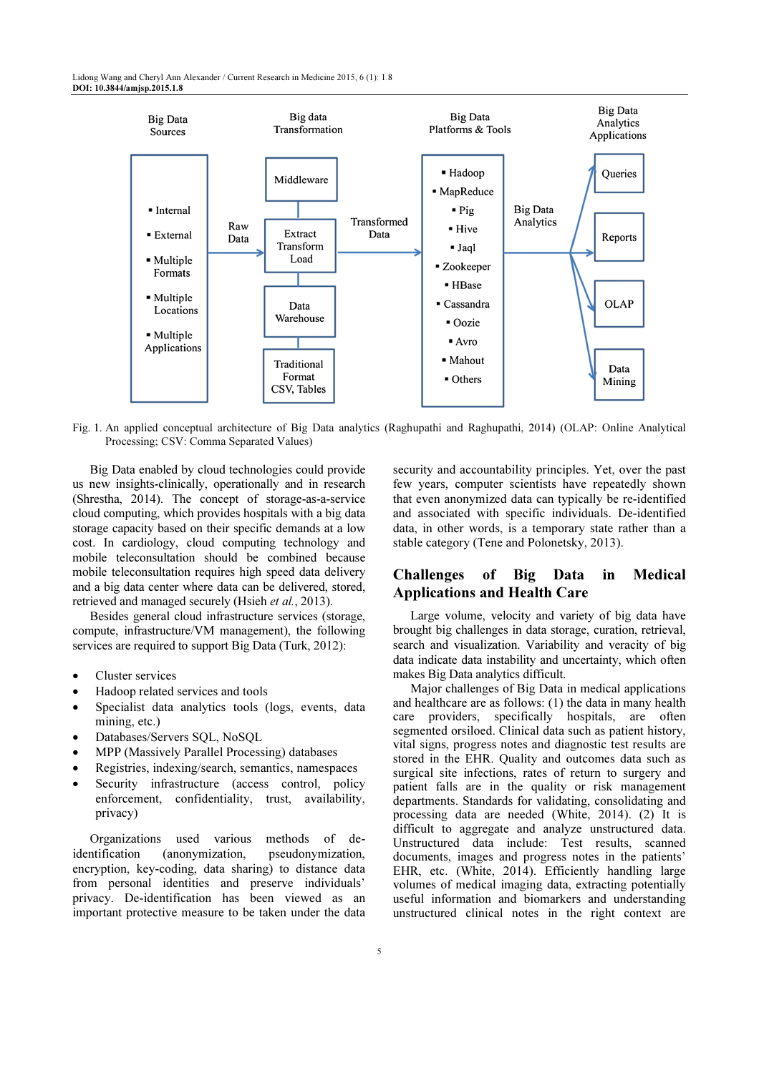Lidong Wang and Cheryl Ann Alexander / Current Research in Medicine 2015, 6 (1): 1.8 DOI: 10.3844/amjsp.2015.1.8



Fig. 1. An applied conceptual architecture of Big Data analytics (Raghupathi and Raghupathi, 2014) (OLAP: Online Analytical Processing; CSV: Comma Separated Values)

Big Data enabled by cloud technologies could provide us new insights-clinically, operationally and in research (Shrestha, 2014). The concept of storage-as-a-service cloud computing, which provides hospitals with a big data storage capacity based on their specific demands at a low cost. In cardiology, cloud computing technology and mobile teleconsultation should be combined because mobile teleconsultation requires high speed data delivery and a big data center where data can be delivered, stored, retrieved and managed securely (Hsieh et al., 2013).

Besides general cloud infrastructure services (storage, compute, infrastructure/VM management), the following services are required to support Big Data (Turk, 2012):

- Cluster services
- Hadoop related services and tools
- Specialist data analytics tools (logs, events, data mining, etc.)
- Databases/Servers SQL, NoSQL
- MPP (Massively Parallel Processing) databases
- Registries, indexing/search, semantics, namespaces
- Security infrastructure (access control, policy enforcement, confidentiality, trust, availability, privacy)

Organizations used various methods of deidentification (anonymization, pseudonymization, encryption, key-coding, data sharing) to distance data from personal identities and preserve individuals' privacy. De-identification has been viewed as an important protective measure to be taken under the data security and accountability principles. Yet, over the past few years, computer scientists have repeatedly shown that even anonymized data can typically be re-identified and associated with specific individuals. De-identified data, in other words, is a temporary state rather than a stable category (Tene and Polonetsky, 2013).

# Challenges of Big Data in Medical Applications and Health Care

Large volume, velocity and variety of big data have brought big challenges in data storage, curation, retrieval, search and visualization. Variability and veracity of big data indicate data instability and uncertainty, which often makes Big Data analytics difficult.

Major challenges of Big Data in medical applications and healthcare are as follows: (1) the data in many health care providers, specifically hospitals, are often segmented orsiloed. Clinical data such as patient history, vital signs, progress notes and diagnostic test results are stored in the EHR. Quality and outcomes data such as surgical site infections, rates of return to surgery and patient falls are in the quality or risk management departments. Standards for validating, consolidating and processing data are needed (White, 2014). (2) It is difficult to aggregate and analyze unstructured data. Unstructured data include: Test results, scanned documents, images and progress notes in the patients' EHR, etc. (White, 2014). Efficiently handling large volumes of medical imaging data, extracting potentially useful information and biomarkers and understanding unstructured clinical notes in the right context are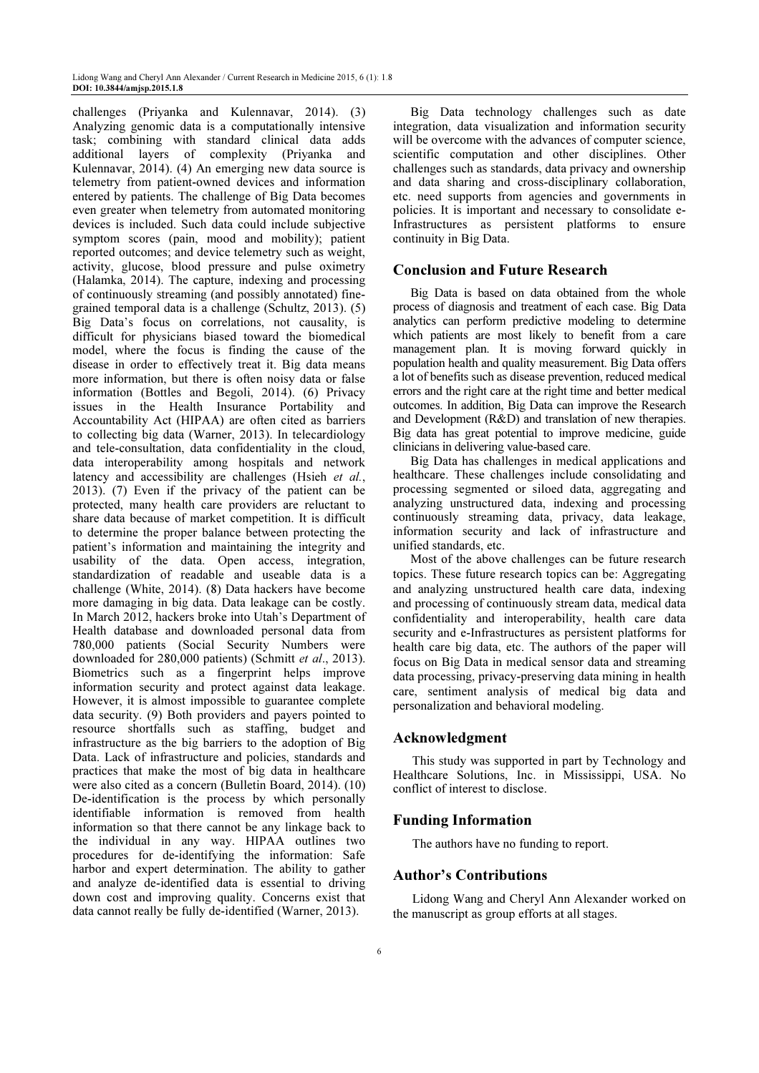challenges (Priyanka and Kulennavar, 2014). (3) Analyzing genomic data is a computationally intensive task; combining with standard clinical data adds additional layers of complexity (Priyanka and Kulennavar, 2014). (4) An emerging new data source is telemetry from patient-owned devices and information entered by patients. The challenge of Big Data becomes even greater when telemetry from automated monitoring devices is included. Such data could include subjective symptom scores (pain, mood and mobility); patient reported outcomes; and device telemetry such as weight, activity, glucose, blood pressure and pulse oximetry (Halamka, 2014). The capture, indexing and processing of continuously streaming (and possibly annotated) finegrained temporal data is a challenge (Schultz, 2013). (5) Big Data's focus on correlations, not causality, is difficult for physicians biased toward the biomedical model, where the focus is finding the cause of the disease in order to effectively treat it. Big data means more information, but there is often noisy data or false information (Bottles and Begoli, 2014). (6) Privacy issues in the Health Insurance Portability and Accountability Act (HIPAA) are often cited as barriers to collecting big data (Warner, 2013). In telecardiology and tele-consultation, data confidentiality in the cloud, data interoperability among hospitals and network latency and accessibility are challenges (Hsieh et al., 2013). (7) Even if the privacy of the patient can be protected, many health care providers are reluctant to share data because of market competition. It is difficult to determine the proper balance between protecting the patient's information and maintaining the integrity and usability of the data. Open access, integration, standardization of readable and useable data is a challenge (White, 2014). (8) Data hackers have become more damaging in big data. Data leakage can be costly. In March 2012, hackers broke into Utah's Department of Health database and downloaded personal data from 780,000 patients (Social Security Numbers were downloaded for 280,000 patients) (Schmitt et al., 2013). Biometrics such as a fingerprint helps improve information security and protect against data leakage. However, it is almost impossible to guarantee complete data security. (9) Both providers and payers pointed to resource shortfalls such as staffing, budget and infrastructure as the big barriers to the adoption of Big Data. Lack of infrastructure and policies, standards and practices that make the most of big data in healthcare were also cited as a concern (Bulletin Board, 2014). (10) De-identification is the process by which personally identifiable information is removed from health information so that there cannot be any linkage back to the individual in any way. HIPAA outlines two procedures for de-identifying the information: Safe harbor and expert determination. The ability to gather and analyze de-identified data is essential to driving down cost and improving quality. Concerns exist that data cannot really be fully de-identified (Warner, 2013).

Big Data technology challenges such as date integration, data visualization and information security will be overcome with the advances of computer science, scientific computation and other disciplines. Other challenges such as standards, data privacy and ownership and data sharing and cross-disciplinary collaboration, etc. need supports from agencies and governments in policies. It is important and necessary to consolidate e-Infrastructures as persistent platforms to ensure continuity in Big Data.

#### Conclusion and Future Research

Big Data is based on data obtained from the whole process of diagnosis and treatment of each case. Big Data analytics can perform predictive modeling to determine which patients are most likely to benefit from a care management plan. It is moving forward quickly in population health and quality measurement. Big Data offers a lot of benefits such as disease prevention, reduced medical errors and the right care at the right time and better medical outcomes. In addition, Big Data can improve the Research and Development (R&D) and translation of new therapies. Big data has great potential to improve medicine, guide clinicians in delivering value-based care.

Big Data has challenges in medical applications and healthcare. These challenges include consolidating and processing segmented or siloed data, aggregating and analyzing unstructured data, indexing and processing continuously streaming data, privacy, data leakage, information security and lack of infrastructure and unified standards, etc.

Most of the above challenges can be future research topics. These future research topics can be: Aggregating and analyzing unstructured health care data, indexing and processing of continuously stream data, medical data confidentiality and interoperability, health care data security and e-Infrastructures as persistent platforms for health care big data, etc. The authors of the paper will focus on Big Data in medical sensor data and streaming data processing, privacy-preserving data mining in health care, sentiment analysis of medical big data and personalization and behavioral modeling.

#### Acknowledgment

 This study was supported in part by Technology and Healthcare Solutions, Inc. in Mississippi, USA. No conflict of interest to disclose.

# Funding Information

The authors have no funding to report.

# Author's Contributions

 Lidong Wang and Cheryl Ann Alexander worked on the manuscript as group efforts at all stages.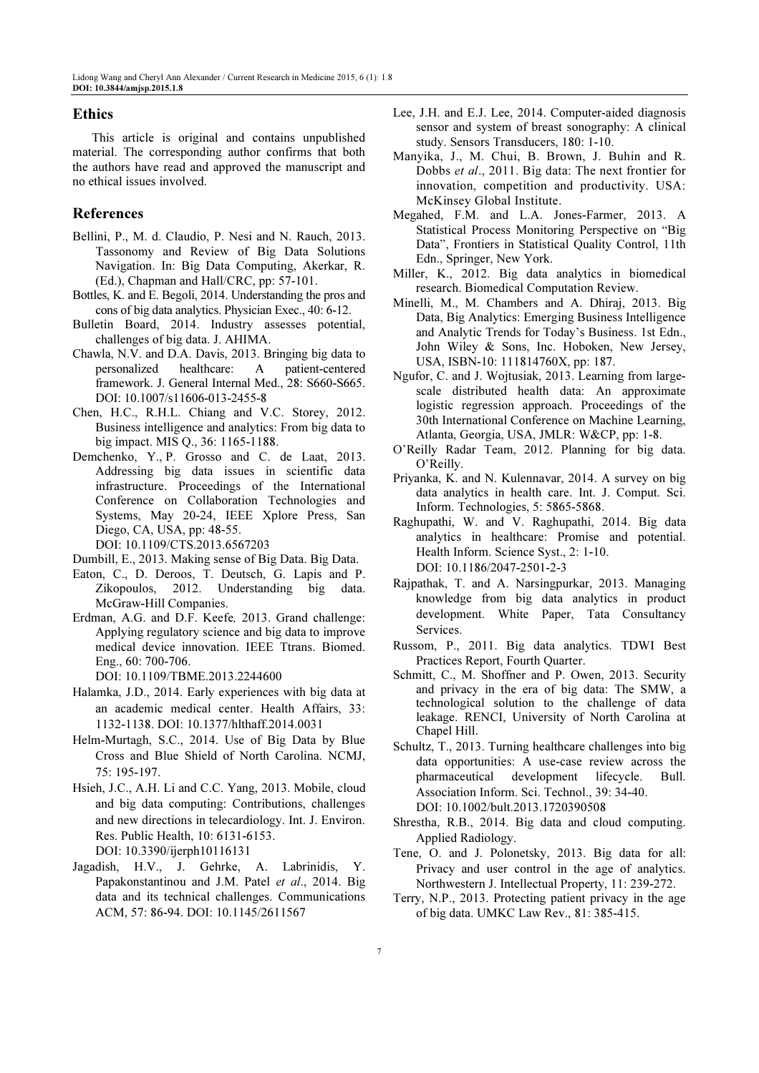#### Ethics

 This article is original and contains unpublished material. The corresponding author confirms that both the authors have read and approved the manuscript and no ethical issues involved.

# References

- Bellini, P., M. d. Claudio, P. Nesi and N. Rauch, 2013. Tassonomy and Review of Big Data Solutions Navigation. In: Big Data Computing, Akerkar, R. (Ed.), Chapman and Hall/CRC, pp: 57-101.
- Bottles, K. and E. Begoli, 2014. Understanding the pros and cons of big data analytics. Physician Exec., 40: 6-12.
- Bulletin Board, 2014. Industry assesses potential, challenges of big data. J. AHIMA.
- Chawla, N.V. and D.A. Davis, 2013. Bringing big data to personalized healthcare: A patient-centered framework. J. General Internal Med., 28: S660-S665. DOI: 10.1007/s11606-013-2455-8
- Chen, H.C., R.H.L. Chiang and V.C. Storey, 2012. Business intelligence and analytics: From big data to big impact. MIS Q., 36: 1165-1188.
- Demchenko, Y., P. Grosso and C. de Laat, 2013. Addressing big data issues in scientific data infrastructure. Proceedings of the International Conference on Collaboration Technologies and Systems, May 20-24, IEEE Xplore Press, San Diego, CA, USA, pp: 48-55. DOI: 10.1109/CTS.2013.6567203
- Dumbill, E., 2013. Making sense of Big Data. Big Data.
- Eaton, C., D. Deroos, T. Deutsch, G. Lapis and P. Zikopoulos, 2012. Understanding big data. McGraw-Hill Companies.
- Erdman, A.G. and D.F. Keefe, 2013. Grand challenge: Applying regulatory science and big data to improve medical device innovation. IEEE Ttrans. Biomed. Eng., 60: 700-706.

DOI: 10.1109/TBME.2013.2244600

- Halamka, J.D., 2014. Early experiences with big data at an academic medical center. Health Affairs, 33: 1132-1138. DOI: 10.1377/hlthaff.2014.0031
- Helm-Murtagh, S.C., 2014. Use of Big Data by Blue Cross and Blue Shield of North Carolina. NCMJ, 75: 195-197.
- Hsieh, J.C., A.H. Li and C.C. Yang, 2013. Mobile, cloud and big data computing: Contributions, challenges and new directions in telecardiology. Int. J. Environ. Res. Public Health, 10: 6131-6153. DOI: 10.3390/ijerph10116131
- Jagadish, H.V., J. Gehrke, A. Labrinidis, Y. Papakonstantinou and J.M. Patel et al., 2014. Big data and its technical challenges. Communications ACM, 57: 86-94. DOI: 10.1145/2611567
- Lee, J.H. and E.J. Lee, 2014. Computer-aided diagnosis sensor and system of breast sonography: A clinical study. Sensors Transducers, 180: 1-10.
- Manyika, J., M. Chui, B. Brown, J. Buhin and R. Dobbs et al., 2011. Big data: The next frontier for innovation, competition and productivity. USA: McKinsey Global Institute.
- Megahed, F.M. and L.A. Jones-Farmer, 2013. A Statistical Process Monitoring Perspective on "Big Data", Frontiers in Statistical Quality Control, 11th Edn., Springer, New York.
- Miller, K., 2012. Big data analytics in biomedical research. Biomedical Computation Review.
- Minelli, M., M. Chambers and A. Dhiraj, 2013. Big Data, Big Analytics: Emerging Business Intelligence and Analytic Trends for Today's Business. 1st Edn., John Wiley & Sons, Inc. Hoboken, New Jersey, USA, ISBN-10: 111814760X, pp: 187.
- Ngufor, C. and J. Wojtusiak, 2013. Learning from largescale distributed health data: An approximate logistic regression approach. Proceedings of the 30th International Conference on Machine Learning, Atlanta, Georgia, USA, JMLR: W&CP, pp: 1-8.
- O'Reilly Radar Team, 2012. Planning for big data. O'Reilly.
- Priyanka, K. and N. Kulennavar, 2014. A survey on big data analytics in health care. Int. J. Comput. Sci. Inform. Technologies, 5: 5865-5868.
- Raghupathi, W. and V. Raghupathi, 2014. Big data analytics in healthcare: Promise and potential. Health Inform. Science Syst., 2: 1-10. DOI: 10.1186/2047-2501-2-3
- Rajpathak, T. and A. Narsingpurkar, 2013. Managing knowledge from big data analytics in product development. White Paper, Tata Consultancy Services.
- Russom, P., 2011. Big data analytics. TDWI Best Practices Report, Fourth Quarter.
- Schmitt, C., M. Shoffner and P. Owen, 2013. Security and privacy in the era of big data: The SMW, a technological solution to the challenge of data leakage. RENCI, University of North Carolina at Chapel Hill.
- Schultz, T., 2013. Turning healthcare challenges into big data opportunities: A use-case review across the pharmaceutical development lifecycle. Bull. Association Inform. Sci. Technol., 39: 34-40. DOI: 10.1002/bult.2013.1720390508
- Shrestha, R.B., 2014. Big data and cloud computing. Applied Radiology.
- Tene, O. and J. Polonetsky, 2013. Big data for all: Privacy and user control in the age of analytics. Northwestern J. Intellectual Property, 11: 239-272.
- Terry, N.P., 2013. Protecting patient privacy in the age of big data. UMKC Law Rev., 81: 385-415.